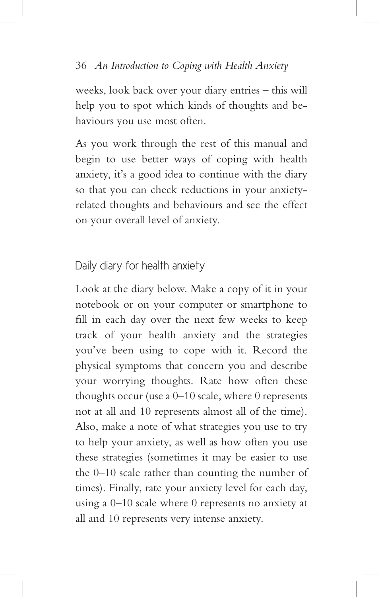## Daily diary for health anxiety

Look at the diary below. Make a copy of it in your notebook or on your computer or smartphone to fill in each day over the next few weeks to keep track of your health anxiety and the strategies you've been using to cope with it. Record the physical symptoms that concern you and describe your worrying thoughts. Rate how often these thoughts occur (use a  $0-10$  scale, where 0 represents not at all and 10 represents almost all of the time). Also, make a note of what strategies you use to try to help your anxiety, as well as how often you use these strategies (sometimes it may be easier to use the 0–10 scale rather than counting the number of times). Finally, rate your anxiety level for each day, using a 0–10 scale where 0 represents no anxiety at all and 10 represents very intense anxiety.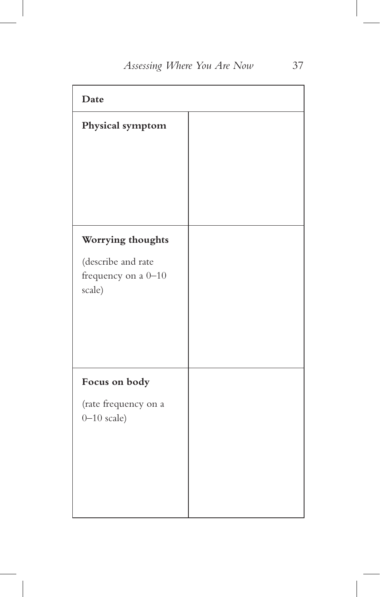| Date                                                |  |
|-----------------------------------------------------|--|
| Physical symptom                                    |  |
|                                                     |  |
|                                                     |  |
|                                                     |  |
|                                                     |  |
| Worrying thoughts                                   |  |
| (describe and rate<br>frequency on a 0-10<br>scale) |  |
| Focus on body                                       |  |
| (rate frequency on a<br>$0 - 10$ scale)             |  |
|                                                     |  |
|                                                     |  |
|                                                     |  |
|                                                     |  |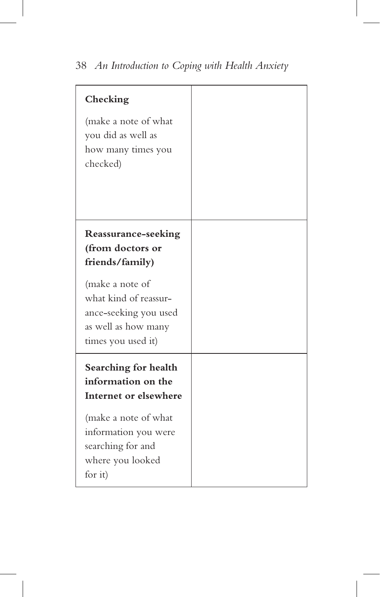| Checking<br>(make a note of what<br>you did as well as<br>how many times you<br>checked)                       |  |
|----------------------------------------------------------------------------------------------------------------|--|
| Reassurance-seeking<br>(from doctors or<br>friends/family)                                                     |  |
| (make a note of<br>what kind of reassur-<br>ance-seeking you used<br>as well as how many<br>times you used it) |  |
| Searching for health<br>information on the<br>Internet or elsewhere                                            |  |
| (make a note of what<br>information you were<br>searching for and<br>where you looked<br>for it)               |  |